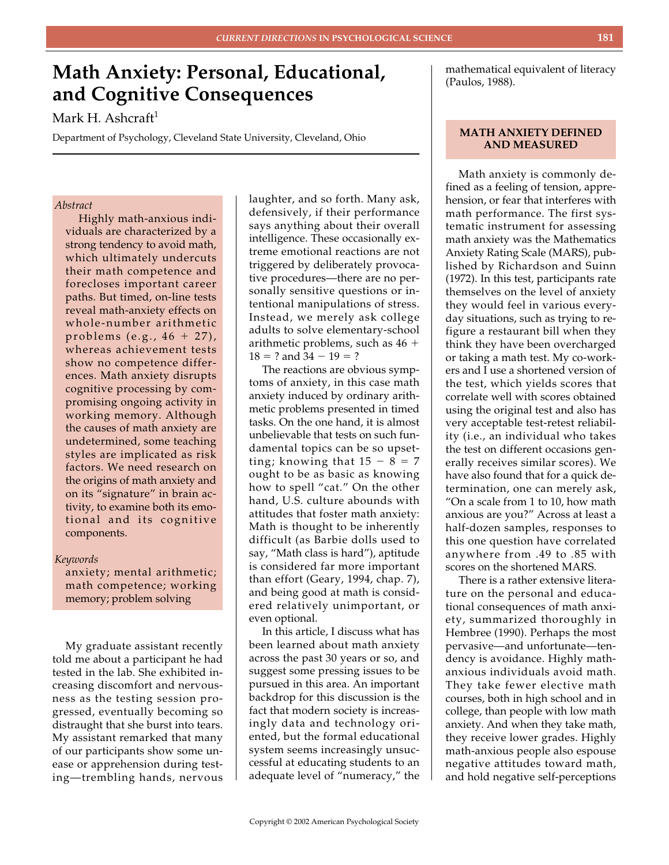# **Math Anxiety: Personal, Educational, and Cognitive Consequences**

Mark H. Ashcraft $1$ 

Department of Psychology, Cleveland State University, Cleveland, Ohio

## *Abstract*

Highly math-anxious individuals are characterized by a strong tendency to avoid math, which ultimately undercuts their math competence and forecloses important career paths. But timed, on-line tests reveal math-anxiety effects on whole-number arithmetic problems (e.g., 46 + 27), whereas achievement tests show no competence differences. Math anxiety disrupts cognitive processing by compromising ongoing activity in working memory. Although the causes of math anxiety are undetermined, some teaching styles are implicated as risk factors. We need research on the origins of math anxiety and on its "signature" in brain activity, to examine both its emotional and its cognitive components.

#### *Keywords*

anxiety; mental arithmetic; math competence; working memory; problem solving

My graduate assistant recently told me about a participant he had tested in the lab. She exhibited increasing discomfort and nervousness as the testing session progressed, eventually becoming so distraught that she burst into tears. My assistant remarked that many of our participants show some unease or apprehension during testing—trembling hands, nervous laughter, and so forth. Many ask, defensively, if their performance says anything about their overall intelligence. These occasionally extreme emotional reactions are not triggered by deliberately provocative procedures—there are no personally sensitive questions or intentional manipulations of stress. Instead, we merely ask college adults to solve elementary-school arithmetic problems, such as  $46+$  $18 = ?$  and  $34 - 19 = ?$ 

The reactions are obvious symptoms of anxiety, in this case math anxiety induced by ordinary arithmetic problems presented in timed tasks. On the one hand, it is almost unbelievable that tests on such fundamental topics can be so upsetting; knowing that  $15 - 8 = 7$ ought to be as basic as knowing how to spell "cat." On the other hand, U.S. culture abounds with attitudes that foster math anxiety: Math is thought to be inherently difficult (as Barbie dolls used to say, "Math class is hard"), aptitude is considered far more important than effort (Geary, 1994, chap. 7), and being good at math is considered relatively unimportant, or even optional.

In this article, I discuss what has been learned about math anxiety across the past 30 years or so, and suggest some pressing issues to be pursued in this area. An important backdrop for this discussion is the fact that modern society is increasingly data and technology oriented, but the formal educational system seems increasingly unsuccessful at educating students to an adequate level of "numeracy," the

mathematical equivalent of literacy (Paulos, 1988).

## **MATH ANXIETY DEFINED AND MEASURED**

Math anxiety is commonly defined as a feeling of tension, apprehension, or fear that interferes with math performance. The first systematic instrument for assessing math anxiety was the Mathematics Anxiety Rating Scale (MARS), published by Richardson and Suinn (1972). In this test, participants rate themselves on the level of anxiety they would feel in various everyday situations, such as trying to refigure a restaurant bill when they think they have been overcharged or taking a math test. My co-workers and I use a shortened version of the test, which yields scores that correlate well with scores obtained using the original test and also has very acceptable test-retest reliability (i.e., an individual who takes the test on different occasions generally receives similar scores). We have also found that for a quick determination, one can merely ask, "On a scale from 1 to 10, how math anxious are you?" Across at least a half-dozen samples, responses to this one question have correlated anywhere from .49 to .85 with scores on the shortened MARS.

There is a rather extensive literature on the personal and educational consequences of math anxiety, summarized thoroughly in Hembree (1990). Perhaps the most pervasive—and unfortunate—tendency is avoidance. Highly mathanxious individuals avoid math. They take fewer elective math courses, both in high school and in college, than people with low math anxiety. And when they take math, they receive lower grades. Highly math-anxious people also espouse negative attitudes toward math, and hold negative self-perceptions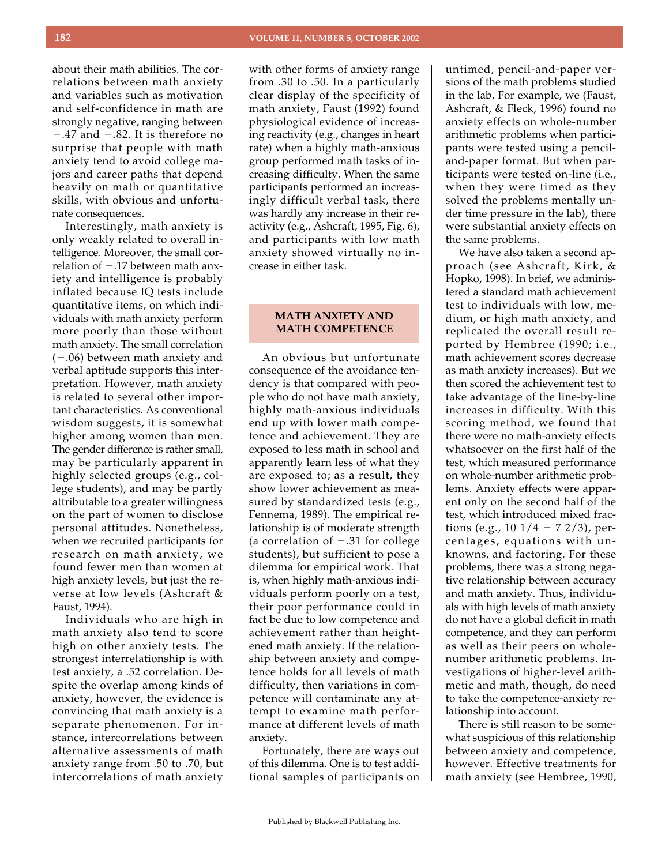about their math abilities. The correlations between math anxiety and variables such as motivation and self-confidence in math are strongly negative, ranging between  $-.47$  and  $-.82$ . It is therefore no surprise that people with math anxiety tend to avoid college majors and career paths that depend heavily on math or quantitative skills, with obvious and unfortunate consequences.

Interestingly, math anxiety is only weakly related to overall intelligence. Moreover, the small correlation of  $-.17$  between math anxiety and intelligence is probably inflated because IQ tests include quantitative items, on which individuals with math anxiety perform more poorly than those without math anxiety. The small correlation  $(-.06)$  between math anxiety and verbal aptitude supports this interpretation. However, math anxiety is related to several other important characteristics. As conventional wisdom suggests, it is somewhat higher among women than men. The gender difference is rather small, may be particularly apparent in highly selected groups (e.g., college students), and may be partly attributable to a greater willingness on the part of women to disclose personal attitudes. Nonetheless, when we recruited participants for research on math anxiety, we found fewer men than women at high anxiety levels, but just the reverse at low levels (Ashcraft & Faust, 1994).

Individuals who are high in math anxiety also tend to score high on other anxiety tests. The strongest interrelationship is with test anxiety, a .52 correlation. Despite the overlap among kinds of anxiety, however, the evidence is convincing that math anxiety is a separate phenomenon. For instance, intercorrelations between alternative assessments of math anxiety range from .50 to .70, but intercorrelations of math anxiety

with other forms of anxiety range from .30 to .50. In a particularly clear display of the specificity of math anxiety, Faust (1992) found physiological evidence of increasing reactivity (e.g., changes in heart rate) when a highly math-anxious group performed math tasks of increasing difficulty. When the same participants performed an increasingly difficult verbal task, there was hardly any increase in their reactivity (e.g., Ashcraft, 1995, Fig. 6), and participants with low math anxiety showed virtually no increase in either task.

## **MATH ANXIETY AND MATH COMPETENCE**

An obvious but unfortunate consequence of the avoidance tendency is that compared with people who do not have math anxiety, highly math-anxious individuals end up with lower math competence and achievement. They are exposed to less math in school and apparently learn less of what they are exposed to; as a result, they show lower achievement as measured by standardized tests (e.g., Fennema, 1989). The empirical relationship is of moderate strength (a correlation of  $-.31$  for college students), but sufficient to pose a dilemma for empirical work. That is, when highly math-anxious individuals perform poorly on a test, their poor performance could in fact be due to low competence and achievement rather than heightened math anxiety. If the relationship between anxiety and competence holds for all levels of math difficulty, then variations in competence will contaminate any attempt to examine math performance at different levels of math anxiety.

Fortunately, there are ways out of this dilemma. One is to test additional samples of participants on

untimed, pencil-and-paper versions of the math problems studied in the lab. For example, we (Faust, Ashcraft, & Fleck, 1996) found no anxiety effects on whole-number arithmetic problems when participants were tested using a penciland-paper format. But when participants were tested on-line (i.e., when they were timed as they solved the problems mentally under time pressure in the lab), there were substantial anxiety effects on the same problems.

We have also taken a second approach (see Ashcraft, Kirk, & Hopko, 1998). In brief, we administered a standard math achievement test to individuals with low, medium, or high math anxiety, and replicated the overall result reported by Hembree (1990; i.e., math achievement scores decrease as math anxiety increases). But we then scored the achievement test to take advantage of the line-by-line increases in difficulty. With this scoring method, we found that there were no math-anxiety effects whatsoever on the first half of the test, which measured performance on whole-number arithmetic problems. Anxiety effects were apparent only on the second half of the test, which introduced mixed fractions (e.g.,  $10 \frac{1}{4} - 7 \frac{2}{3}$ ), percentages, equations with unknowns, and factoring. For these problems, there was a strong negative relationship between accuracy and math anxiety. Thus, individuals with high levels of math anxiety do not have a global deficit in math competence, and they can perform as well as their peers on wholenumber arithmetic problems. Investigations of higher-level arithmetic and math, though, do need to take the competence-anxiety relationship into account.

There is still reason to be somewhat suspicious of this relationship between anxiety and competence, however. Effective treatments for math anxiety (see Hembree, 1990,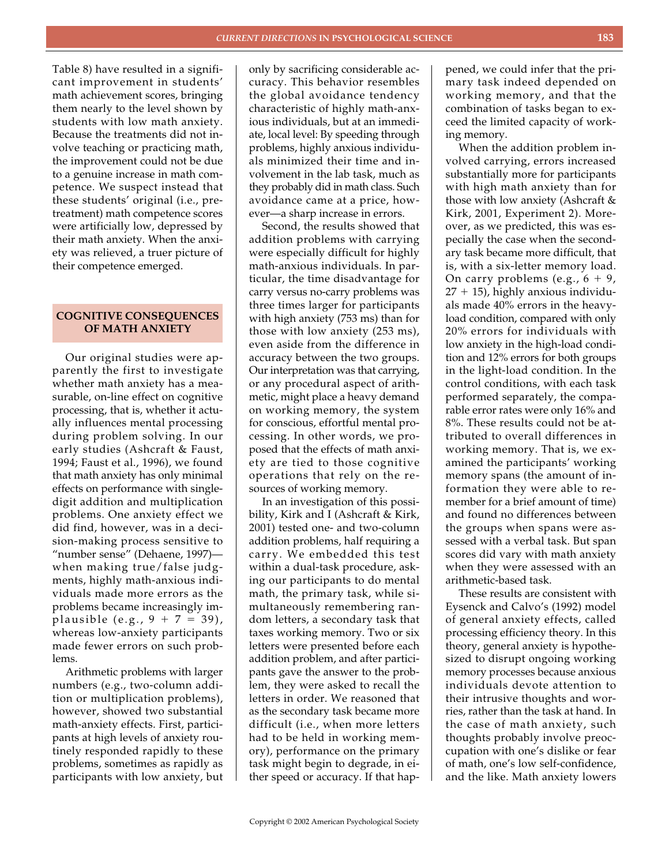Table 8) have resulted in a significant improvement in students' math achievement scores, bringing them nearly to the level shown by students with low math anxiety. Because the treatments did not involve teaching or practicing math, the improvement could not be due to a genuine increase in math competence. We suspect instead that these students' original (i.e., pretreatment) math competence scores were artificially low, depressed by their math anxiety. When the anxiety was relieved, a truer picture of their competence emerged.

## **COGNITIVE CONSEQUENCES OF MATH ANXIETY**

Our original studies were apparently the first to investigate whether math anxiety has a measurable, on-line effect on cognitive processing, that is, whether it actually influences mental processing during problem solving. In our early studies (Ashcraft & Faust, 1994; Faust et al., 1996), we found that math anxiety has only minimal effects on performance with singledigit addition and multiplication problems. One anxiety effect we did find, however, was in a decision-making process sensitive to "number sense" (Dehaene, 1997) when making true/false judgments, highly math-anxious individuals made more errors as the problems became increasingly im $plausible (e.g., 9 + 7 = 39),$ whereas low-anxiety participants made fewer errors on such problems.

Arithmetic problems with larger numbers (e.g., two-column addition or multiplication problems), however, showed two substantial math-anxiety effects. First, participants at high levels of anxiety routinely responded rapidly to these problems, sometimes as rapidly as participants with low anxiety, but

only by sacrificing considerable accuracy. This behavior resembles the global avoidance tendency characteristic of highly math-anxious individuals, but at an immediate, local level: By speeding through problems, highly anxious individuals minimized their time and involvement in the lab task, much as they probably did in math class. Such avoidance came at a price, however—a sharp increase in errors.

Second, the results showed that addition problems with carrying were especially difficult for highly math-anxious individuals. In particular, the time disadvantage for carry versus no-carry problems was three times larger for participants with high anxiety (753 ms) than for those with low anxiety (253 ms), even aside from the difference in accuracy between the two groups. Our interpretation was that carrying, or any procedural aspect of arithmetic, might place a heavy demand on working memory, the system for conscious, effortful mental processing. In other words, we proposed that the effects of math anxiety are tied to those cognitive operations that rely on the resources of working memory.

In an investigation of this possibility, Kirk and I (Ashcraft & Kirk, 2001) tested one- and two-column addition problems, half requiring a carry. We embedded this test within a dual-task procedure, asking our participants to do mental math, the primary task, while simultaneously remembering random letters, a secondary task that taxes working memory. Two or six letters were presented before each addition problem, and after participants gave the answer to the problem, they were asked to recall the letters in order. We reasoned that as the secondary task became more difficult (i.e., when more letters had to be held in working memory), performance on the primary task might begin to degrade, in either speed or accuracy. If that happened, we could infer that the primary task indeed depended on working memory, and that the combination of tasks began to exceed the limited capacity of working memory.

When the addition problem involved carrying, errors increased substantially more for participants with high math anxiety than for those with low anxiety (Ashcraft & Kirk, 2001, Experiment 2). Moreover, as we predicted, this was especially the case when the secondary task became more difficult, that is, with a six-letter memory load. On carry problems (e.g.,  $6 + 9$ , 27 - 15), highly anxious individuals made 40% errors in the heavyload condition, compared with only 20% errors for individuals with low anxiety in the high-load condition and 12% errors for both groups in the light-load condition. In the control conditions, with each task performed separately, the comparable error rates were only 16% and 8%. These results could not be attributed to overall differences in working memory. That is, we examined the participants' working memory spans (the amount of information they were able to remember for a brief amount of time) and found no differences between the groups when spans were assessed with a verbal task. But span scores did vary with math anxiety when they were assessed with an arithmetic-based task.

These results are consistent with Eysenck and Calvo's (1992) model of general anxiety effects, called processing efficiency theory. In this theory, general anxiety is hypothesized to disrupt ongoing working memory processes because anxious individuals devote attention to their intrusive thoughts and worries, rather than the task at hand. In the case of math anxiety, such thoughts probably involve preoccupation with one's dislike or fear of math, one's low self-confidence, and the like. Math anxiety lowers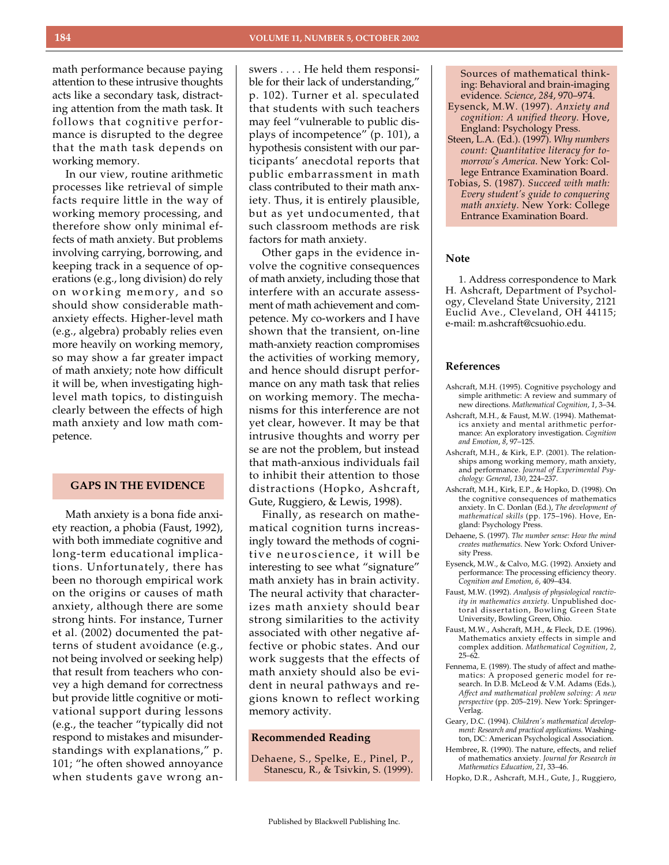math performance because paying attention to these intrusive thoughts acts like a secondary task, distracting attention from the math task. It follows that cognitive performance is disrupted to the degree that the math task depends on working memory.

In our view, routine arithmetic processes like retrieval of simple facts require little in the way of working memory processing, and therefore show only minimal effects of math anxiety. But problems involving carrying, borrowing, and keeping track in a sequence of operations (e.g., long division) do rely on working memory, and so should show considerable mathanxiety effects. Higher-level math (e.g., algebra) probably relies even more heavily on working memory, so may show a far greater impact of math anxiety; note how difficult it will be, when investigating highlevel math topics, to distinguish clearly between the effects of high math anxiety and low math competence.

## **GAPS IN THE EVIDENCE**

Math anxiety is a bona fide anxiety reaction, a phobia (Faust, 1992), with both immediate cognitive and long-term educational implications. Unfortunately, there has been no thorough empirical work on the origins or causes of math anxiety, although there are some strong hints. For instance, Turner et al. (2002) documented the patterns of student avoidance (e.g., not being involved or seeking help) that result from teachers who convey a high demand for correctness but provide little cognitive or motivational support during lessons (e.g., the teacher "typically did not respond to mistakes and misunderstandings with explanations," p. 101; "he often showed annoyance when students gave wrong answers . . . . He held them responsible for their lack of understanding," p. 102). Turner et al. speculated that students with such teachers may feel "vulnerable to public displays of incompetence" (p. 101), a hypothesis consistent with our participants' anecdotal reports that public embarrassment in math class contributed to their math anxiety. Thus, it is entirely plausible, but as yet undocumented, that such classroom methods are risk factors for math anxiety.

Other gaps in the evidence involve the cognitive consequences of math anxiety, including those that interfere with an accurate assessment of math achievement and competence. My co-workers and I have shown that the transient, on-line math-anxiety reaction compromises the activities of working memory, and hence should disrupt performance on any math task that relies on working memory. The mechanisms for this interference are not yet clear, however. It may be that intrusive thoughts and worry per se are not the problem, but instead that math-anxious individuals fail to inhibit their attention to those distractions (Hopko, Ashcraft, Gute, Ruggiero, & Lewis, 1998).

Finally, as research on mathematical cognition turns increasingly toward the methods of cognitive neuroscience, it will be interesting to see what "signature" math anxiety has in brain activity. The neural activity that characterizes math anxiety should bear strong similarities to the activity associated with other negative affective or phobic states. And our work suggests that the effects of math anxiety should also be evident in neural pathways and regions known to reflect working memory activity.

#### **Recommended Reading**

Dehaene, S., Spelke, E., Pinel, P., Stanescu, R., & Tsivkin, S. (1999).

Sources of mathematical thinking: Behavioral and brain-imaging evidence. *Science*, *284*, 970–974.

- Eysenck, M.W. (1997). *Anxiety and cognition: A unified theory*. Hove, England: Psychology Press.
- Steen, L.A. (Ed.). (1997). *Why numbers count: Quantitative literacy for tomorrow's America*. New York: College Entrance Examination Board.
- Tobias, S. (1987). *Succeed with math: Every student's guide to conquering math anxiety*. New York: College Entrance Examination Board.

#### **Note**

1. Address correspondence to Mark H. Ashcraft, Department of Psychology, Cleveland State University, 2121 Euclid Ave., Cleveland, OH 44115; e-mail: m.ashcraft@csuohio.edu.

#### **References**

- Ashcraft, M.H. (1995). Cognitive psychology and simple arithmetic: A review and summary of new directions. *Mathematical Cognition*, *1*, 3–34.
- Ashcraft, M.H., & Faust, M.W. (1994). Mathematics anxiety and mental arithmetic performance: An exploratory investigation. *Cognition and Emotion*, *8*, 97–125.
- Ashcraft, M.H., & Kirk, E.P. (2001). The relationships among working memory, math anxiety, and performance. *Journal of Experimental Psychology: General*, *130*, 224–237.
- Ashcraft, M.H., Kirk, E.P., & Hopko, D. (1998). On the cognitive consequences of mathematics anxiety. In C. Donlan (Ed.), *The development of mathematical skills* (pp. 175–196). Hove, England: Psychology Press.
- Dehaene, S. (1997). *The number sense: How the mind creates mathematics*. New York: Oxford University Press.
- Eysenck, M.W., & Calvo, M.G. (1992). Anxiety and performance: The processing efficiency theory. *Cognition and Emotion*, *6*, 409–434.
- Faust, M.W. (1992). *Analysis of physiological reactivity in mathematics anxiety*. Unpublished doctoral dissertation, Bowling Green State University, Bowling Green, Ohio.
- Faust, M.W., Ashcraft, M.H., & Fleck, D.E. (1996). Mathematics anxiety effects in simple and complex addition. *Mathematical Cognition*, *2*, 25–62.
- Fennema, E. (1989). The study of affect and mathematics: A proposed generic model for research. In D.B. McLeod & V.M. Adams (Eds.), *Affect and mathematical problem solving: A new perspective* (pp. 205–219). New York: Springer-Verlag.
- Geary, D.C. (1994). *Children's mathematical development: Research and practical applications*. Washington, DC: American Psychological Association.
- Hembree, R. (1990). The nature, effects, and relief of mathematics anxiety. *Journal for Research in Mathematics Education*, *21*, 33–46.

Hopko, D.R., Ashcraft, M.H., Gute, J., Ruggiero,